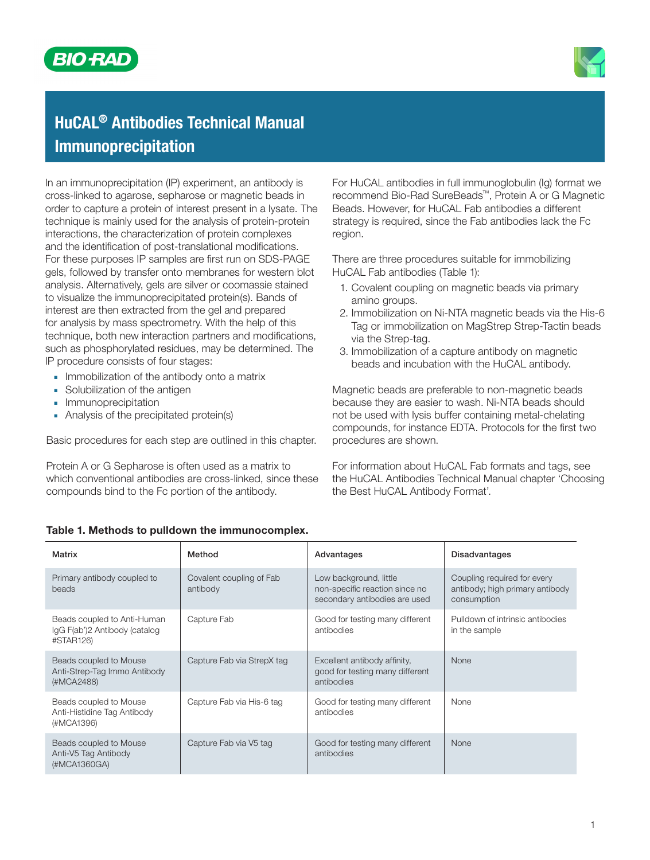



# HuCAL® Antibodies Technical Manual Immunoprecipitation

In an immunoprecipitation (IP) experiment, an antibody is cross-linked to agarose, sepharose or magnetic beads in order to capture a protein of interest present in a lysate. The technique is mainly used for the analysis of protein-protein interactions, the characterization of protein complexes and the identification of post-translational modifications. For these purposes IP samples are first run on SDS-PAGE gels, followed by transfer onto membranes for western blot analysis. Alternatively, gels are silver or coomassie stained to visualize the immunoprecipitated protein(s). Bands of interest are then extracted from the gel and prepared for analysis by mass spectrometry. With the help of this technique, both new interaction partners and modifications, such as phosphorylated residues, may be determined. The IP procedure consists of four stages:

- **■** Immobilization of the antibody onto a matrix
- **■** Solubilization of the antigen
- **■** Immunoprecipitation
- **■** Analysis of the precipitated protein(s)

Basic procedures for each step are outlined in this chapter.

Protein A or G Sepharose is often used as a matrix to which conventional antibodies are cross-linked, since these compounds bind to the Fc portion of the antibody.

For HuCAL antibodies in full immunoglobulin (Ig) format we recommend Bio-Rad SureBeads™, Protein A or G Magnetic Beads. However, for HuCAL Fab antibodies a different strategy is required, since the Fab antibodies lack the Fc region.

There are three procedures suitable for immobilizing HuCAL Fab antibodies (Table 1):

- 1. Covalent coupling on magnetic beads via primary amino groups.
- 2. Immobilization on Ni-NTA magnetic beads via the His-6 Tag or immobilization on MagStrep Strep-Tactin beads via the Strep-tag.
- 3. Immobilization of a capture antibody on magnetic beads and incubation with the HuCAL antibody.

Magnetic beads are preferable to non-magnetic beads because they are easier to wash. Ni-NTA beads should not be used with lysis buffer containing metal-chelating compounds, for instance EDTA. Protocols for the first two procedures are shown.

For information about HuCAL Fab formats and tags, see the HuCAL Antibodies Technical Manual chapter 'Choosing the Best HuCAL Antibody Format'.

| Method                               | Advantages                                                                                | <b>Disadvantages</b>                                                          |
|--------------------------------------|-------------------------------------------------------------------------------------------|-------------------------------------------------------------------------------|
| Covalent coupling of Fab<br>antibody | Low background, little<br>non-specific reaction since no<br>secondary antibodies are used | Coupling required for every<br>antibody; high primary antibody<br>consumption |
| Capture Fab                          | Good for testing many different<br>antibodies                                             | Pulldown of intrinsic antibodies<br>in the sample                             |
| Capture Fab via StrepX tag           | Excellent antibody affinity,<br>good for testing many different<br>antibodies             | <b>None</b>                                                                   |
| Capture Fab via His-6 tag            | Good for testing many different<br>antibodies                                             | <b>None</b>                                                                   |
| Capture Fab via V5 tag               | Good for testing many different<br>antibodies                                             | <b>None</b>                                                                   |
|                                      |                                                                                           |                                                                               |

## Table 1. Methods to pulldown the immunocomplex.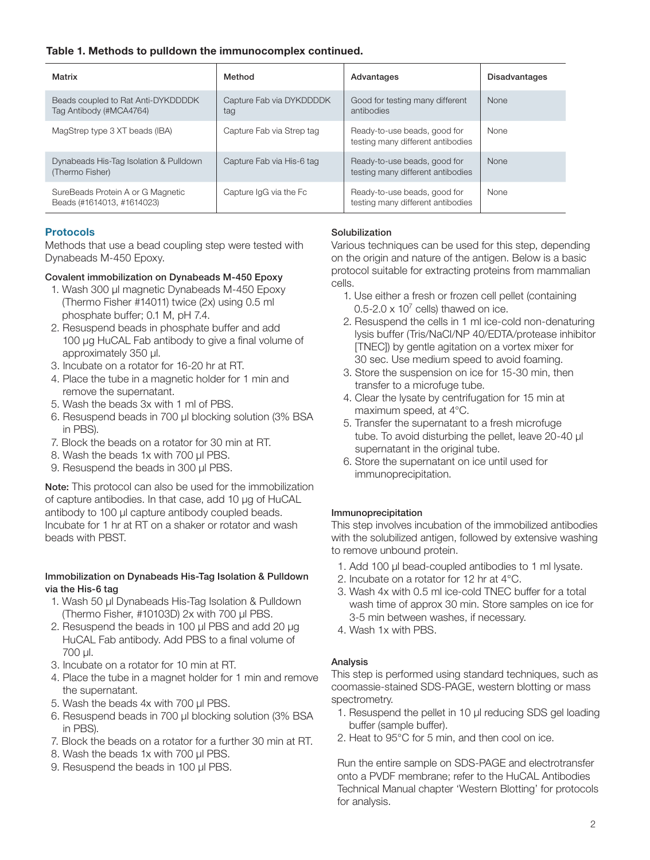## Table 1. Methods to pulldown the immunocomplex continued.

| Matrix                                                          | Method                          | Advantages                                                        | <b>Disadvantages</b> |
|-----------------------------------------------------------------|---------------------------------|-------------------------------------------------------------------|----------------------|
| Beads coupled to Rat Anti-DYKDDDDK<br>Tag Antibody (#MCA4764)   | Capture Fab via DYKDDDDK<br>tag | Good for testing many different<br>antibodies                     | <b>None</b>          |
| MagStrep type 3 XT beads (IBA)                                  | Capture Fab via Strep tag       | Ready-to-use beads, good for<br>testing many different antibodies | <b>None</b>          |
| Dynabeads His-Tag Isolation & Pulldown<br>(Thermo Fisher)       | Capture Fab via His-6 tag       | Ready-to-use beads, good for<br>testing many different antibodies | <b>None</b>          |
| SureBeads Protein A or G Magnetic<br>Beads (#1614013, #1614023) | Capture IgG via the Fc          | Ready-to-use beads, good for<br>testing many different antibodies | None                 |

## Protocols

Methods that use a bead coupling step were tested with Dynabeads M-450 Epoxy.

## Covalent immobilization on Dynabeads M-450 Epoxy

- 1. Wash 300 µl magnetic Dynabeads M-450 Epoxy (Thermo Fisher #14011) twice (2x) using 0.5 ml phosphate buffer; 0.1 M, pH 7.4.
- 2. Resuspend beads in phosphate buffer and add 100 µg HuCAL Fab antibody to give a final volume of approximately 350 µl.
- 3. Incubate on a rotator for 16-20 hr at RT.
- 4. Place the tube in a magnetic holder for 1 min and remove the supernatant.
- 5. Wash the beads 3x with 1 ml of PBS.
- 6. Resuspend beads in 700 µl blocking solution (3% BSA in PBS).
- 7. Block the beads on a rotator for 30 min at RT.
- 8. Wash the beads 1x with 700 µl PBS.
- 9. Resuspend the beads in 300 µl PBS.

Note: This protocol can also be used for the immobilization of capture antibodies. In that case, add 10 µg of HuCAL antibody to 100 µl capture antibody coupled beads. Incubate for 1 hr at RT on a shaker or rotator and wash beads with PBST.

## Immobilization on Dynabeads His-Tag Isolation & Pulldown via the His-6 tag

- 1. Wash 50 µl Dynabeads His-Tag Isolation & Pulldown (Thermo Fisher, #10103D) 2x with 700 µl PBS.
- 2. Resuspend the beads in 100 µl PBS and add 20 µg HuCAL Fab antibody. Add PBS to a final volume of 700 µl.
- 3. Incubate on a rotator for 10 min at RT.
- 4. Place the tube in a magnet holder for 1 min and remove the supernatant.
- 5. Wash the beads 4x with 700 µl PBS.
- 6. Resuspend beads in 700 µl blocking solution (3% BSA in PBS).
- 7. Block the beads on a rotator for a further 30 min at RT.
- 8. Wash the beads 1x with 700 µl PBS.
- 9. Resuspend the beads in 100 µl PBS.

## Solubilization

Various techniques can be used for this step, depending on the origin and nature of the antigen. Below is a basic protocol suitable for extracting proteins from mammalian cells.

- 1. Use either a fresh or frozen cell pellet (containing  $0.5$ -2.0 x 10<sup>7</sup> cells) thawed on ice.
- 2. Resuspend the cells in 1 ml ice-cold non-denaturing lysis buffer (Tris/NaCl/NP 40/EDTA/protease inhibitor [TNEC]) by gentle agitation on a vortex mixer for 30 sec. Use medium speed to avoid foaming.
- 3. Store the suspension on ice for 15-30 min, then transfer to a microfuge tube.
- 4. Clear the lysate by centrifugation for 15 min at maximum speed, at 4°C.
- 5. Transfer the supernatant to a fresh microfuge tube. To avoid disturbing the pellet, leave 20-40 µl supernatant in the original tube.
- 6. Store the supernatant on ice until used for immunoprecipitation.

## Immunoprecipitation

This step involves incubation of the immobilized antibodies with the solubilized antigen, followed by extensive washing to remove unbound protein.

- 1. Add 100 µl bead-coupled antibodies to 1 ml lysate.
- 2. Incubate on a rotator for 12 hr at 4°C.
- 3. Wash 4x with 0.5 ml ice-cold TNEC buffer for a total wash time of approx 30 min. Store samples on ice for 3-5 min between washes, if necessary.
- 4. Wash 1x with PBS.

## Analysis

This step is performed using standard techniques, such as coomassie-stained SDS-PAGE, western blotting or mass spectrometry.

- 1. Resuspend the pellet in 10 µl reducing SDS gel loading buffer (sample buffer).
- 2. Heat to 95°C for 5 min, and then cool on ice.

Run the entire sample on SDS-PAGE and electrotransfer onto a PVDF membrane; refer to the HuCAL Antibodies Technical Manual chapter 'Western Blotting' for protocols for analysis.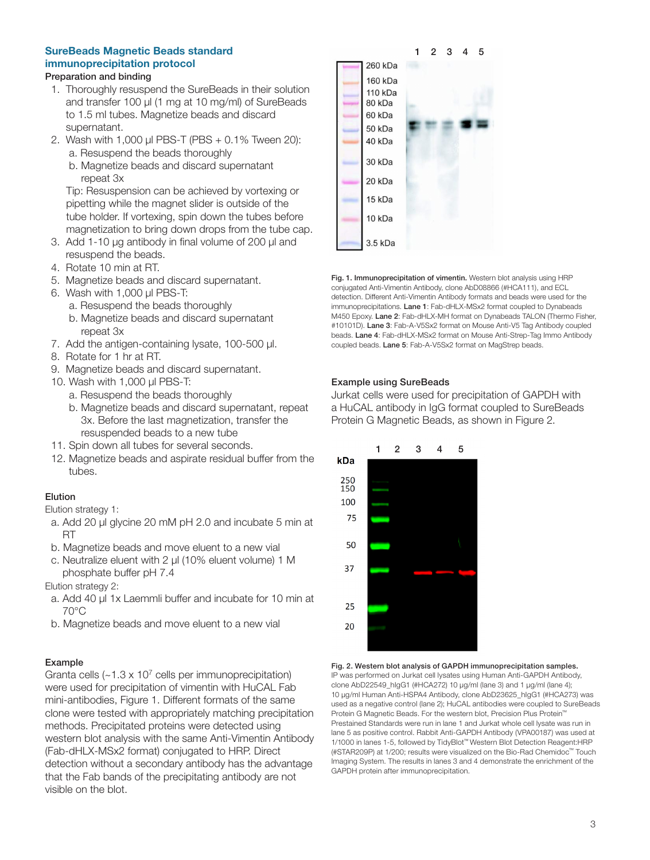## SureBeads Magnetic Beads standard immunoprecipitation protocol

## Preparation and binding

- 1. Thoroughly resuspend the SureBeads in their solution and transfer 100 μl (1 mg at 10 mg/ml) of SureBeads to 1.5 ml tubes. Magnetize beads and discard supernatant.
- 2. Wash with 1,000 μl PBS-T (PBS + 0.1% Tween 20): a. Resuspend the beads thoroughly
	- b. Magnetize beads and discard supernatant repeat 3x

Tip: Resuspension can be achieved by vortexing or pipetting while the magnet slider is outside of the tube holder. If vortexing, spin down the tubes before magnetization to bring down drops from the tube cap.

- 3. Add 1-10 μg antibody in final volume of 200 μl and resuspend the beads.
- 4. Rotate 10 min at RT.
- 5. Magnetize beads and discard supernatant.
- 6. Wash with 1,000 μl PBS-T:
	- a. Resuspend the beads thoroughly
	- b. Magnetize beads and discard supernatant repeat 3x
- 7. Add the antigen-containing lysate, 100-500 μl.
- 8. Rotate for 1 hr at RT.
- 9. Magnetize beads and discard supernatant.
- 10. Wash with 1,000 μl PBS-T:
	- a. Resuspend the beads thoroughly
	- b. Magnetize beads and discard supernatant, repeat 3x. Before the last magnetization, transfer the resuspended beads to a new tube
- 11. Spin down all tubes for several seconds.
- 12. Magnetize beads and aspirate residual buffer from the tubes.

## Elution

Elution strategy 1:

- a. Add 20 μl glycine 20 mM pH 2.0 and incubate 5 min at RT
- b. Magnetize beads and move eluent to a new vial
- c. Neutralize eluent with 2 μl (10% eluent volume) 1 M phosphate buffer pH 7.4

Elution strategy 2:

- a. Add 40 μl 1x Laemmli buffer and incubate for 10 min at 70°C
- b. Magnetize beads and move eluent to a new vial

## Example

Granta cells  $(-1.3 \times 10^7 \text{ cells per immunoprecipitation})$ were used for precipitation of vimentin with HuCAL Fab mini-antibodies, Figure 1. Different formats of the same clone were tested with appropriately matching precipitation methods. Precipitated proteins were detected using western blot analysis with the same Anti-Vimentin Antibody (Fab-dHLX-MSx2 format) conjugated to HRP. Direct detection without a secondary antibody has the advantage that the Fab bands of the precipitating antibody are not visible on the blot.



Fig. 1. Immunoprecipitation of vimentin. Western blot analysis using HRP conjugated Anti-Vimentin Antibody, clone AbD08866 (#HCA111), and ECL detection. Different Anti-Vimentin Antibody formats and beads were used for the immunoprecipitations. Lane 1: Fab-dHLX-MSx2 format coupled to Dynabeads M450 Epoxy. Lane 2: Fab-dHLX-MH format on Dynabeads TALON (Thermo Fisher, #10101D). Lane 3: Fab-A-V5Sx2 format on Mouse Anti-V5 Tag Antibody coupled beads. Lane 4: Fab-dHLX-MSx2 format on Mouse Anti-Strep-Tag Immo Antibody coupled beads. Lane 5: Fab-A-V5Sx2 format on MagStrep beads.

## Example using SureBeads

Jurkat cells were used for precipitation of GAPDH with a HuCAL antibody in IgG format coupled to SureBeads Protein G Magnetic Beads, as shown in Figure 2.



Fig. 2. Western blot analysis of GAPDH immunoprecipitation samples. IP was performed on Jurkat cell lysates using Human Anti-GAPDH Antibody, clone AbD22549\_hIgG1 (#HCA272) 10 µg/ml (lane 3) and 1 µg/ml (lane 4); 10 µg/ml Human Anti-HSPA4 Antibody, clone AbD23625\_hIgG1 (#HCA273) was used as a negative control (lane 2); HuCAL antibodies were coupled to SureBeads Protein G Magnetic Beads. For the western blot, Precision Plus Protein™ Prestained Standards were run in lane 1 and Jurkat whole cell lysate was run in lane 5 as positive control. Rabbit Anti-GAPDH Antibody (VPA00187) was used at 1/1000 in lanes 1-5, followed by TidyBlot™ Western Blot Detection Reagent:HRP (#STAR209P) at 1/200; results were visualized on the Bio-Rad Chemidoc™ Touch Imaging System. The results in lanes 3 and 4 demonstrate the enrichment of the GAPDH protein after immunoprecipitation.

## 3